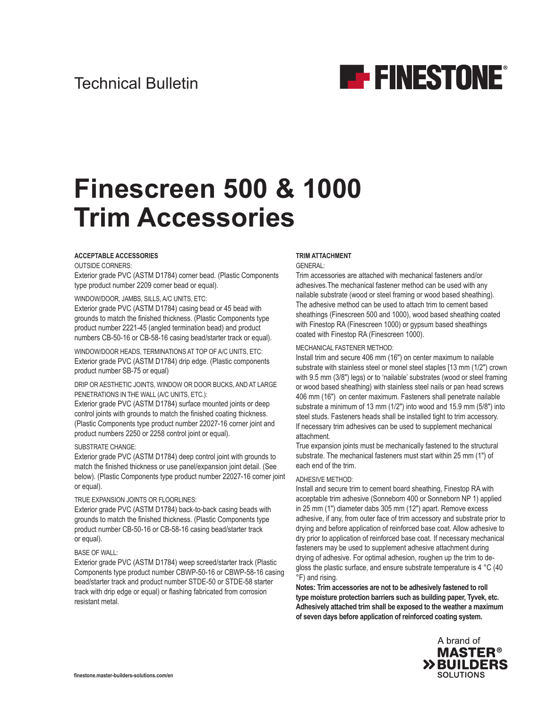

# **Finescreen 500 & 1000 Trim Accessories**

#### **ACCEPTABLE ACCESSORIES**

OUTSIDE CORNERS:

Exterior grade PVC (ASTM D1784) corner bead. (Plastic Components type product number 2209 corner bead or equal).

## WINDOW/DOOR, JAMBS, SILLS, A/C UNITS, ETC:

Exterior grade PVC (ASTM D1784) casing bead or 45 bead with grounds to match the finished thickness. (Plastic Components type product number 2221-45 (angled termination bead) and product numbers CB-50-16 or CB-58-16 casing bead/starter track or equal).

WINDOW/DOOR HEADS, TERMINATIONS AT TOP OF A/C UNITS, ETC: Exterior grade PVC (ASTM D1784) drip edge. (Plastic components product number SB-75 or equal)

### DRIP OR AESTHETIC JOINTS, WINDOW OR DOOR BUCKS, AND AT LARGE PENETRATIONS IN THE WALL (A/C UNITS, ETC.):

Exterior grade PVC (ASTM D1784) surface mounted joints or deep control joints with grounds to match the finished coating thickness. (Plastic Components type product number 22027-16 corner joint and product numbers 2250 or 2258 control joint or equal).

## SUBSTRATE CHANGE:

Exterior grade PVC (ASTM D1784) deep control joint with grounds to match the finished thickness or use panel/expansion joint detail. (See below). (Plastic Components type product number 22027-16 corner joint or equal).

## TRUE EXPANSION JOINTS OR FLOORLINES:

Exterior grade PVC (ASTM D1784) back-to-back casing beads with grounds to match the finished thickness. (Plastic Components type product number CB-50-16 or CB-58-16 casing bead/starter track or equal).

## BASE OF WALL:

Exterior grade PVC (ASTM D1784) weep screed/starter track (Plastic Components type product number CBWP-50-16 or CBWP-58-16 casing bead/starter track and product number STDE-50 or STDE-58 starter track with drip edge or equal) or flashing fabricated from corrosion resistant metal.

## **TRIM ATTACHMENT**

GENERAL:

Trim accessories are attached with mechanical fasteners and/or adhesives.The mechanical fastener method can be used with any nailable substrate (wood or steel framing or wood based sheathing). The adhesive method can be used to attach trim to cement based sheathings (Finescreen 500 and 1000), wood based sheathing coated with Finestop RA (Finescreen 1000) or gypsum based sheathings coated with Finestop RA (Finescreen 1000).

## MECHANICAL FASTENER METHOD:

Install trim and secure 406 mm (16") on center maximum to nailable substrate with stainless steel or monel steel staples [13 mm (1/2") crown with 9.5 mm (3/8") legs) or to 'nailable' substrates (wood or steel framing or wood based sheathing) with stainless steel nails or pan head screws 406 mm (16") on center maximum. Fasteners shall penetrate nailable substrate a minimum of 13 mm (1/2") into wood and 15.9 mm (5/8") into steel studs. Fasteners heads shall be installed tight to trim accessory. If necessary trim adhesives can be used to supplement mechanical attachment.

True expansion joints must be mechanically fastened to the structural substrate. The mechanical fasteners must start within 25 mm (1") of each end of the trim.

## ADHESIVE METHOD:

Install and secure trim to cement board sheathing, Finestop RA with acceptable trim adhesive (Sonneborn 400 or Sonneborn NP 1) applied in 25 mm (1") diameter dabs 305 mm (12") apart. Remove excess adhesive, if any, from outer face of trim accessory and substrate prior to drying and before application of reinforced base coat. Allow adhesive to dry prior to application of reinforced base coat. If necessary mechanical fasteners may be used to supplement adhesive attachment during drying of adhesive. For optimal adhesion, roughen up the trim to degloss the plastic surface, and ensure substrate temperature is 4 °C (40 °F) and rising.

**Notes: Trim accessories are not to be adhesively fastened to roll type moisture protection barriers such as building paper, Tyvek, etc. Adhesively attached trim shall be exposed to the weather a maximum of seven days before application of reinforced coating system.**